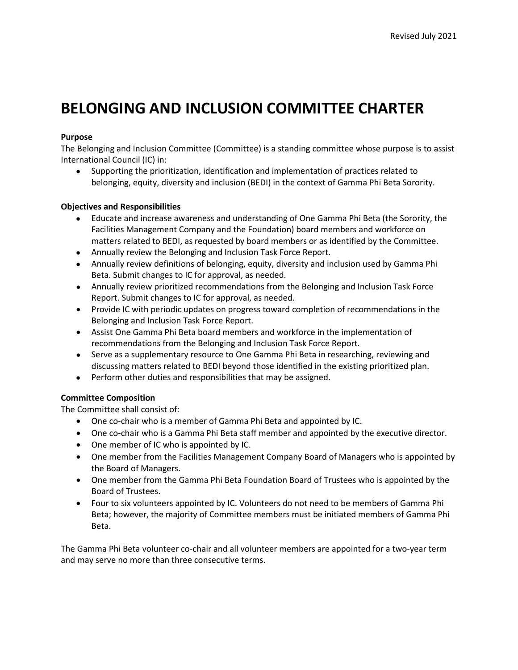# **BELONGING AND INCLUSION COMMITTEE CHARTER**

## **Purpose**

The Belonging and Inclusion Committee (Committee) is a standing committee whose purpose is to assist International Council (IC) in:

• Supporting the prioritization, identification and implementation of practices related to belonging, equity, diversity and inclusion (BEDI) in the context of Gamma Phi Beta Sorority.

### **Objectives and Responsibilities**

- Educate and increase awareness and understanding of One Gamma Phi Beta (the Sorority, the Facilities Management Company and the Foundation) board members and workforce on matters related to BEDI, as requested by board members or as identified by the Committee.
- Annually review the Belonging and Inclusion Task Force Report.
- Annually review definitions of belonging, equity, diversity and inclusion used by Gamma Phi Beta. Submit changes to IC for approval, as needed.
- Annually review prioritized recommendations from the Belonging and Inclusion Task Force Report. Submit changes to IC for approval, as needed.
- Provide IC with periodic updates on progress toward completion of recommendations in the Belonging and Inclusion Task Force Report.
- Assist One Gamma Phi Beta board members and workforce in the implementation of recommendations from the Belonging and Inclusion Task Force Report.
- Serve as a supplementary resource to One Gamma Phi Beta in researching, reviewing and discussing matters related to BEDI beyond those identified in the existing prioritized plan.
- Perform other duties and responsibilities that may be assigned.

### **Committee Composition**

The Committee shall consist of:

- One co-chair who is a member of Gamma Phi Beta and appointed by IC.
- One co-chair who is a Gamma Phi Beta staff member and appointed by the executive director.
- One member of IC who is appointed by IC.
- One member from the Facilities Management Company Board of Managers who is appointed by the Board of Managers.
- One member from the Gamma Phi Beta Foundation Board of Trustees who is appointed by the Board of Trustees.
- Four to six volunteers appointed by IC. Volunteers do not need to be members of Gamma Phi Beta; however, the majority of Committee members must be initiated members of Gamma Phi Beta.

The Gamma Phi Beta volunteer co-chair and all volunteer members are appointed for a two-year term and may serve no more than three consecutive terms.